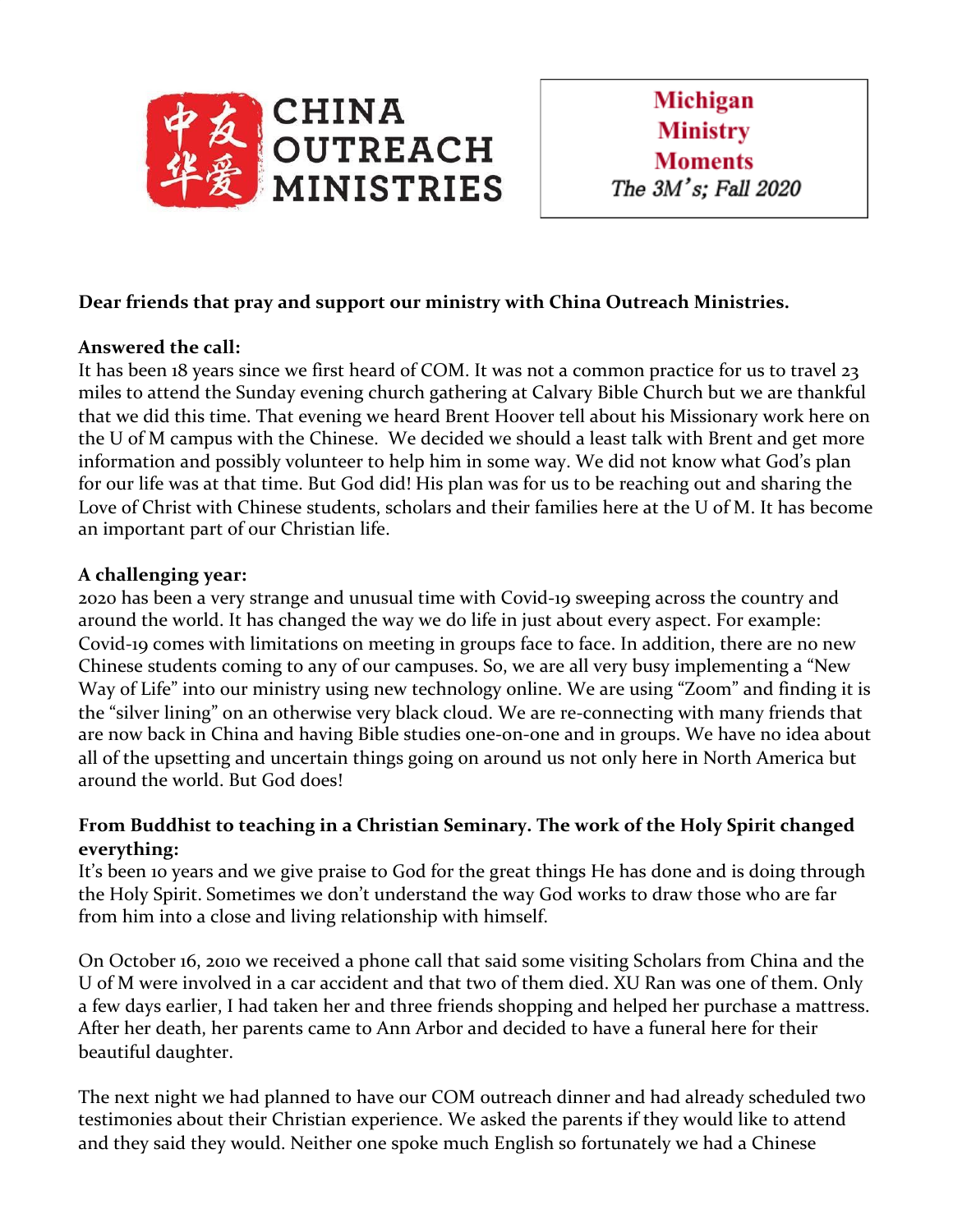

## **Dear friends that pray and support our ministry with China Outreach Ministries.**

## **Answered the call:**

It has been 18 years since we first heard of COM. It was not a common practice for us to travel 23 miles to attend the Sunday evening church gathering at Calvary Bible Church but we are thankful that we did this time. That evening we heard Brent Hoover tell about his Missionary work here on the U of M campus with the Chinese. We decided we should a least talk with Brent and get more information and possibly volunteer to help him in some way. We did not know what God's plan for our life was at that time. But God did! His plan was for us to be reaching out and sharing the Love of Christ with Chinese students, scholars and their families here at the U of M. It has become an important part of our Christian life.

## **A challenging year:**

2020 has been a very strange and unusual time with Covid-19 sweeping across the country and around the world. It has changed the way we do life in just about every aspect. For example: Covid-19 comes with limitations on meeting in groups face to face. In addition, there are no new Chinese students coming to any of our campuses. So, we are all very busy implementing a "New Way of Life" into our ministry using new technology online. We are using "Zoom" and finding it is the "silver lining" on an otherwise very black cloud. We are re-connecting with many friends that are now back in China and having Bible studies one-on-one and in groups. We have no idea about all of the upsetting and uncertain things going on around us not only here in North America but around the world. But God does!

## **From Buddhist to teaching in a Christian Seminary. The work of the Holy Spirit changed everything:**

It's been 10 years and we give praise to God for the great things He has done and is doing through the Holy Spirit. Sometimes we don't understand the way God works to draw those who are far from him into a close and living relationship with himself.

On October 16, 2010 we received a phone call that said some visiting Scholars from China and the U of M were involved in a car accident and that two of them died. XU Ran was one of them. Only a few days earlier, I had taken her and three friends shopping and helped her purchase a mattress. After her death, her parents came to Ann Arbor and decided to have a funeral here for their beautiful daughter.

The next night we had planned to have our COM outreach dinner and had already scheduled two testimonies about their Christian experience. We asked the parents if they would like to attend and they said they would. Neither one spoke much English so fortunately we had a Chinese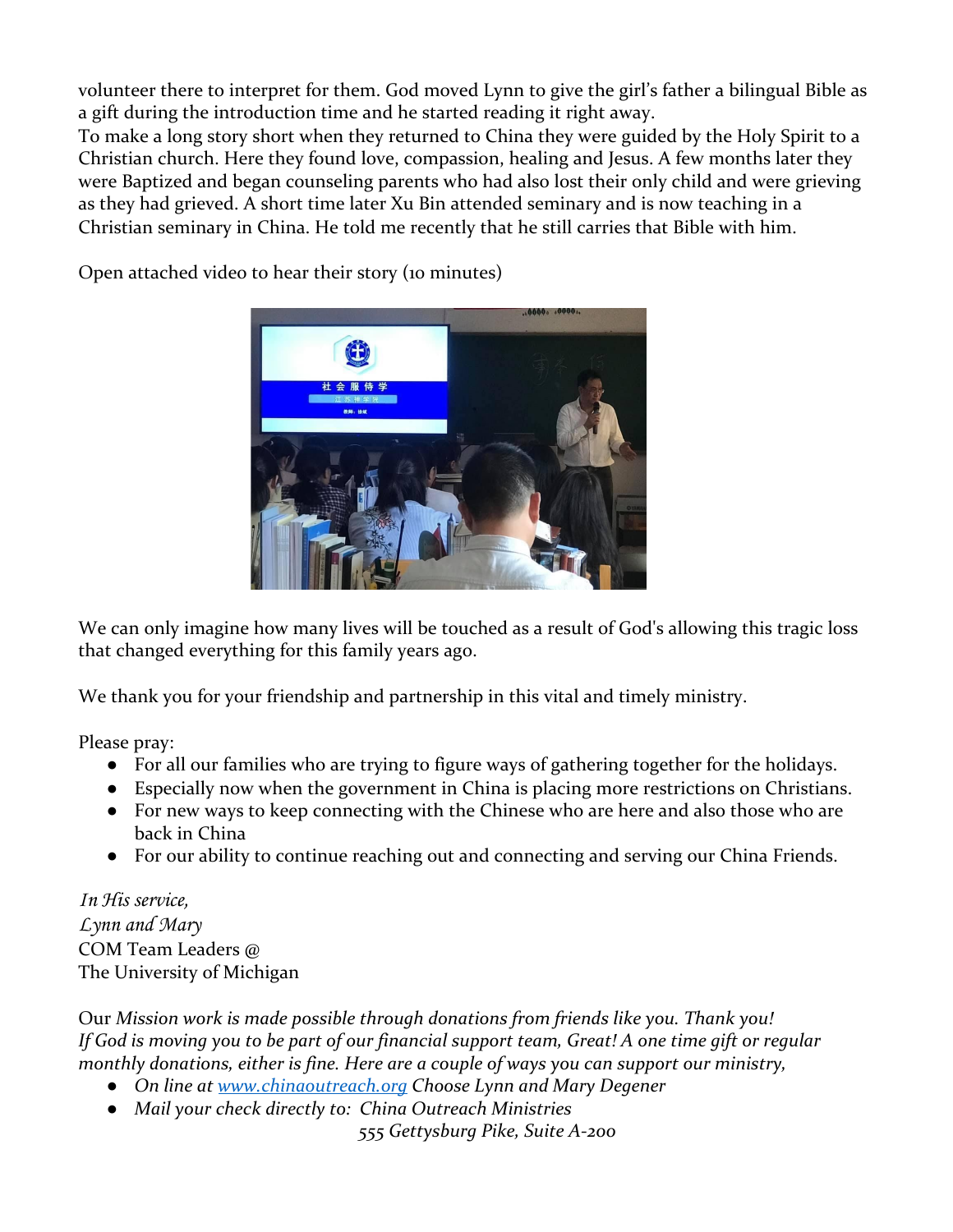volunteer there to interpret for them. God moved Lynn to give the girl's father a bilingual Bible as a gift during the introduction time and he started reading it right away.

To make a long story short when they returned to China they were guided by the Holy Spirit to a Christian church. Here they found love, compassion, healing and Jesus. A few months later they were Baptized and began counseling parents who had also lost their only child and were grieving as they had grieved. A short time later Xu Bin attended seminary and is now teaching in a Christian seminary in China. He told me recently that he still carries that Bible with him.



Open attached video to hear their story (10 minutes)

We can only imagine how many lives will be touched as a result of God's allowing this tragic loss that changed everything for this family years ago.

We thank you for your friendship and partnership in this vital and timely ministry.

Please pray:

- For all our families who are trying to figure ways of gathering together for the holidays.
- Especially now when the government in China is placing more restrictions on Christians.
- For new ways to keep connecting with the Chinese who are here and also those who are back in China
- For our ability to continue reaching out and connecting and serving our China Friends.

In His service, Lynn and Mary COM Team Leaders @ The University of Michigan

Our *Mission work is made possible through donations from friends like you. Thank you! If God is moving you to be part of our financial support team, Great! A one time gift or regular monthly donations, either is fine. Here are a couple of ways you can support our ministry,*

- *● On line at [www.chinaoutreach.org](http://www.chinaoutreach.org/) Choose Lynn and Mary Degener*
- *● Mail your check directly to: China Outreach Ministries*

*555 Gettysburg Pike, Suite A-200*